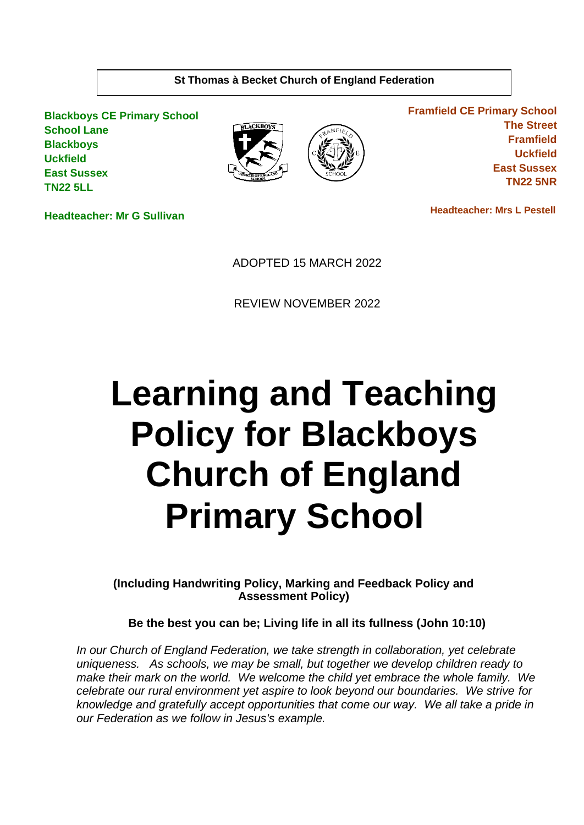# **St Thomas à Becket Church of England Federation**

**Blackboys CE Primary School School Lane Blackboys Uckfield East Sussex TN22 5LL**





**Framfield CE Primary School The Street Framfield Uckfield East Sussex TN22 5NR**

**Headteacher: Mr G Sullivan**

 **Headteacher: Mrs L Pestell** 

ADOPTED 15 MARCH 2022

REVIEW NOVEMBER 2022

# **Learning and Teaching Policy for Blackboys Church of England Primary School**

**(Including Handwriting Policy, Marking and Feedback Policy and Assessment Policy)** 

**Be the best you can be; Living life in all its fullness (John 10:10)**

*In our Church of England Federation, we take strength in collaboration, yet celebrate uniqueness. As schools, we may be small, but together we develop children ready to make their mark on the world. We welcome the child yet embrace the whole family. We celebrate our rural environment yet aspire to look beyond our boundaries. We strive for knowledge and gratefully accept opportunities that come our way. We all take a pride in our Federation as we follow in Jesus's example.*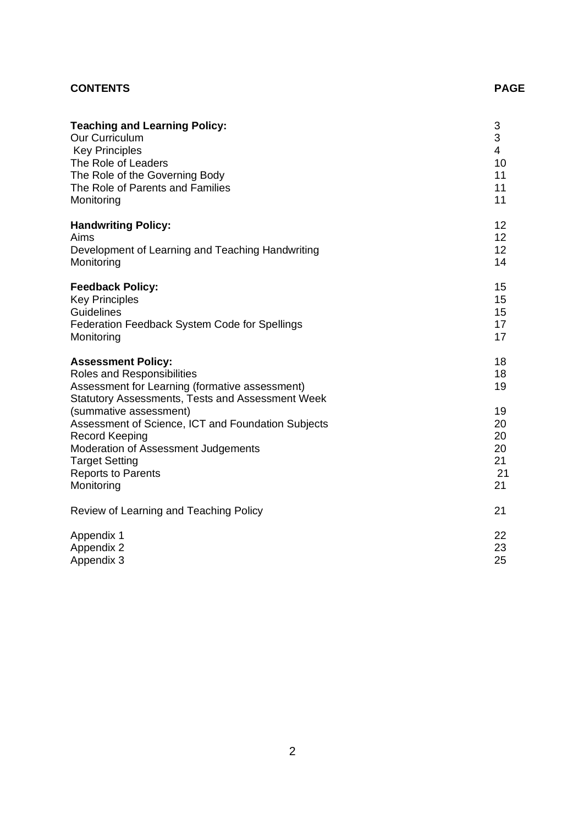# **CONTENTS** PAGE

| <b>Teaching and Learning Policy:</b>                                                                                                                                                                                                                                                                                                                                              | 3                                                        |
|-----------------------------------------------------------------------------------------------------------------------------------------------------------------------------------------------------------------------------------------------------------------------------------------------------------------------------------------------------------------------------------|----------------------------------------------------------|
| Our Curriculum                                                                                                                                                                                                                                                                                                                                                                    | 3                                                        |
| <b>Key Principles</b>                                                                                                                                                                                                                                                                                                                                                             | $\overline{4}$                                           |
| The Role of Leaders                                                                                                                                                                                                                                                                                                                                                               | 10                                                       |
| The Role of the Governing Body                                                                                                                                                                                                                                                                                                                                                    | 11                                                       |
| The Role of Parents and Families                                                                                                                                                                                                                                                                                                                                                  | 11                                                       |
| Monitoring                                                                                                                                                                                                                                                                                                                                                                        | 11                                                       |
| <b>Handwriting Policy:</b>                                                                                                                                                                                                                                                                                                                                                        | 12                                                       |
| Aims                                                                                                                                                                                                                                                                                                                                                                              | 12                                                       |
| Development of Learning and Teaching Handwriting                                                                                                                                                                                                                                                                                                                                  | 12                                                       |
| Monitoring                                                                                                                                                                                                                                                                                                                                                                        | 14                                                       |
| <b>Feedback Policy:</b>                                                                                                                                                                                                                                                                                                                                                           | 15                                                       |
| <b>Key Principles</b>                                                                                                                                                                                                                                                                                                                                                             | 15                                                       |
| <b>Guidelines</b>                                                                                                                                                                                                                                                                                                                                                                 | 15                                                       |
| Federation Feedback System Code for Spellings                                                                                                                                                                                                                                                                                                                                     | 17                                                       |
| Monitoring                                                                                                                                                                                                                                                                                                                                                                        | 17                                                       |
| <b>Assessment Policy:</b><br>Roles and Responsibilities<br>Assessment for Learning (formative assessment)<br>Statutory Assessments, Tests and Assessment Week<br>(summative assessment)<br>Assessment of Science, ICT and Foundation Subjects<br><b>Record Keeping</b><br>Moderation of Assessment Judgements<br><b>Target Setting</b><br><b>Reports to Parents</b><br>Monitoring | 18<br>18<br>19<br>19<br>20<br>20<br>20<br>21<br>21<br>21 |
| Review of Learning and Teaching Policy                                                                                                                                                                                                                                                                                                                                            | 21                                                       |
| Appendix 1                                                                                                                                                                                                                                                                                                                                                                        | 22                                                       |
| Appendix 2                                                                                                                                                                                                                                                                                                                                                                        | 23                                                       |
| Appendix 3                                                                                                                                                                                                                                                                                                                                                                        | 25                                                       |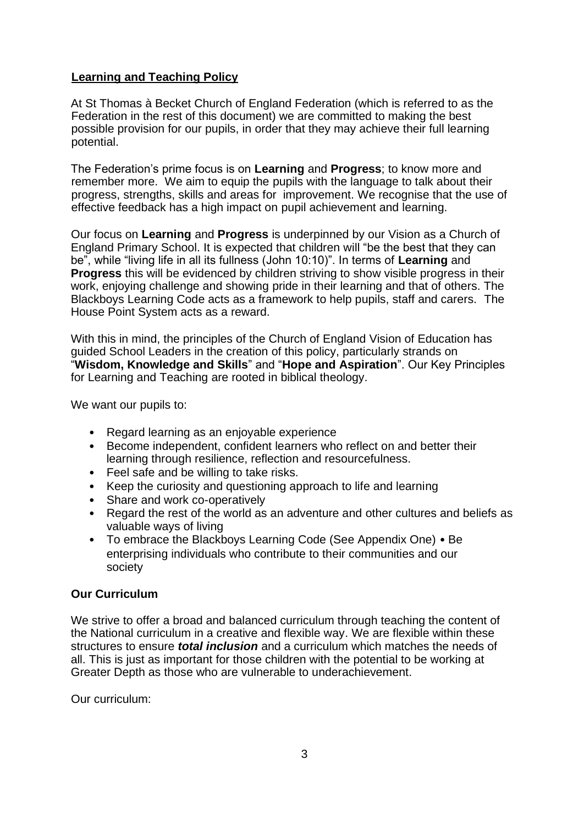# **Learning and Teaching Policy**

At St Thomas à Becket Church of England Federation (which is referred to as the Federation in the rest of this document) we are committed to making the best possible provision for our pupils, in order that they may achieve their full learning potential.

The Federation's prime focus is on **Learning** and **Progress**; to know more and remember more. We aim to equip the pupils with the language to talk about their progress, strengths, skills and areas for improvement. We recognise that the use of effective feedback has a high impact on pupil achievement and learning.

Our focus on **Learning** and **Progress** is underpinned by our Vision as a Church of England Primary School. It is expected that children will "be the best that they can be", while "living life in all its fullness (John 10:10)". In terms of **Learning** and **Progress** this will be evidenced by children striving to show visible progress in their work, enjoying challenge and showing pride in their learning and that of others. The Blackboys Learning Code acts as a framework to help pupils, staff and carers. The House Point System acts as a reward.

With this in mind, the principles of the Church of England Vision of Education has guided School Leaders in the creation of this policy, particularly strands on "**Wisdom, Knowledge and Skills**" and "**Hope and Aspiration**". Our Key Principles for Learning and Teaching are rooted in biblical theology.

We want our pupils to:

- Regard learning as an enjoyable experience
- Become independent, confident learners who reflect on and better their learning through resilience, reflection and resourcefulness.
- Feel safe and be willing to take risks.
- Keep the curiosity and questioning approach to life and learning
- Share and work co-operatively<br>• Regard the rest of the world as
- Regard the rest of the world as an adventure and other cultures and beliefs as valuable ways of living
- To embrace the Blackboys Learning Code (See Appendix One) Be enterprising individuals who contribute to their communities and our society

# **Our Curriculum**

We strive to offer a broad and balanced curriculum through teaching the content of the National curriculum in a creative and flexible way. We are flexible within these structures to ensure *total inclusion* and a curriculum which matches the needs of all. This is just as important for those children with the potential to be working at Greater Depth as those who are vulnerable to underachievement.

Our curriculum: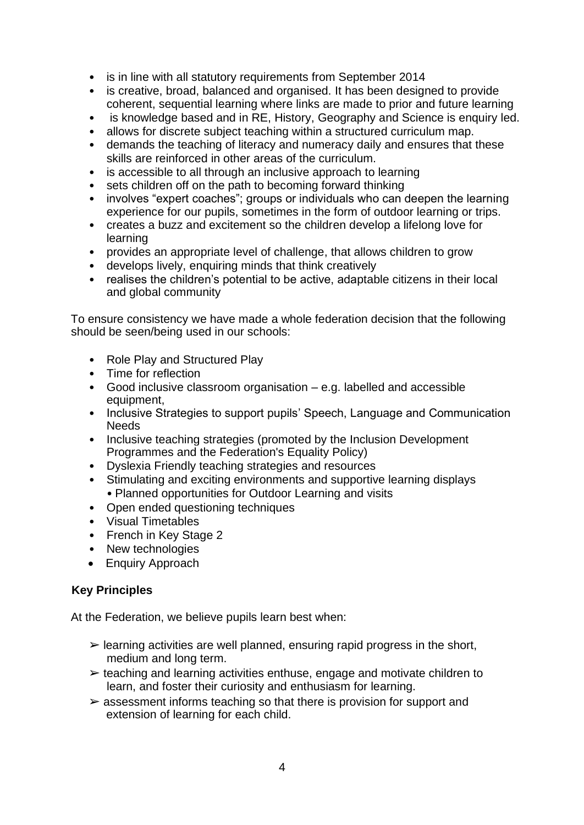- is in line with all statutory requirements from September 2014
- is creative, broad, balanced and organised. It has been designed to provide coherent, sequential learning where links are made to prior and future learning
- is knowledge based and in RE, History, Geography and Science is enquiry led.
- allows for discrete subject teaching within a structured curriculum map.
- demands the teaching of literacy and numeracy daily and ensures that these skills are reinforced in other areas of the curriculum.
- is accessible to all through an inclusive approach to learning
- sets children off on the path to becoming forward thinking
- involves "expert coaches"; groups or individuals who can deepen the learning experience for our pupils, sometimes in the form of outdoor learning or trips.
- creates a buzz and excitement so the children develop a lifelong love for learning
- provides an appropriate level of challenge, that allows children to grow
- develops lively, enquiring minds that think creatively
- realises the children's potential to be active, adaptable citizens in their local and global community

To ensure consistency we have made a whole federation decision that the following should be seen/being used in our schools:

- Role Play and Structured Play
- Time for reflection
- Good inclusive classroom organisation e.g. labelled and accessible equipment,
- Inclusive Strategies to support pupils' Speech, Language and Communication Needs
- Inclusive teaching strategies (promoted by the Inclusion Development Programmes and the Federation's Equality Policy)
- Dyslexia Friendly teaching strategies and resources
- Stimulating and exciting environments and supportive learning displays • Planned opportunities for Outdoor Learning and visits
- Open ended questioning techniques
- Visual Timetables
- French in Key Stage 2
- New technologies
- Enquiry Approach

# **Key Principles**

At the Federation, we believe pupils learn best when:

- $\triangleright$  learning activities are well planned, ensuring rapid progress in the short, medium and long term.
- $\ge$  teaching and learning activities enthuse, engage and motivate children to learn, and foster their curiosity and enthusiasm for learning.
- $\triangleright$  assessment informs teaching so that there is provision for support and extension of learning for each child.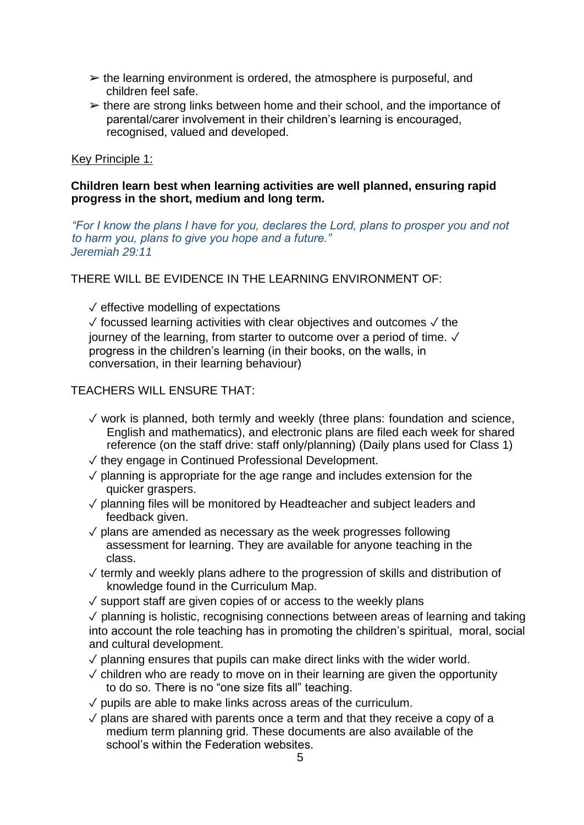- $\triangleright$  the learning environment is ordered, the atmosphere is purposeful, and children feel safe.
- $\geq$  there are strong links between home and their school, and the importance of parental/carer involvement in their children's learning is encouraged, recognised, valued and developed.

#### Key Principle 1:

#### **Children learn best when learning activities are well planned, ensuring rapid progress in the short, medium and long term.**

*"For I know the plans I have for you, declares the Lord, plans to prosper you and not to harm you, plans to give you hope and a future." Jeremiah 29:11* 

THERE WILL BE EVIDENCE IN THE LEARNING ENVIRONMENT OF:

 $\sqrt{\ }$  effective modelling of expectations

✓ focussed learning activities with clear objectives and outcomes ✓ the journey of the learning, from starter to outcome over a period of time. ✓ progress in the children's learning (in their books, on the walls, in conversation, in their learning behaviour)

TEACHERS WILL ENSURE THAT:

- ✓ work is planned, both termly and weekly (three plans: foundation and science, English and mathematics), and electronic plans are filed each week for shared reference (on the staff drive: staff only/planning) (Daily plans used for Class 1)
- ✓ they engage in Continued Professional Development.
- $\sqrt{2}$  planning is appropriate for the age range and includes extension for the quicker graspers.
- ✓ planning files will be monitored by Headteacher and subject leaders and feedback given.
- $\sqrt{\ }$  plans are amended as necessary as the week progresses following assessment for learning. They are available for anyone teaching in the class.
- ✓ termly and weekly plans adhere to the progression of skills and distribution of knowledge found in the Curriculum Map.
- $\sqrt{\ }$  support staff are given copies of or access to the weekly plans
- $\sqrt{2}$  planning is holistic, recognising connections between areas of learning and taking into account the role teaching has in promoting the children's spiritual, moral, social and cultural development.
- $\sqrt{2}$  planning ensures that pupils can make direct links with the wider world.
- $\sqrt{2}$  children who are ready to move on in their learning are given the opportunity to do so. There is no "one size fits all" teaching.
- $\sqrt{\overline{a}}$  pupils are able to make links across areas of the curriculum.
- $\sqrt{2}$  plans are shared with parents once a term and that they receive a copy of a medium term planning grid. These documents are also available of the school's within the Federation websites.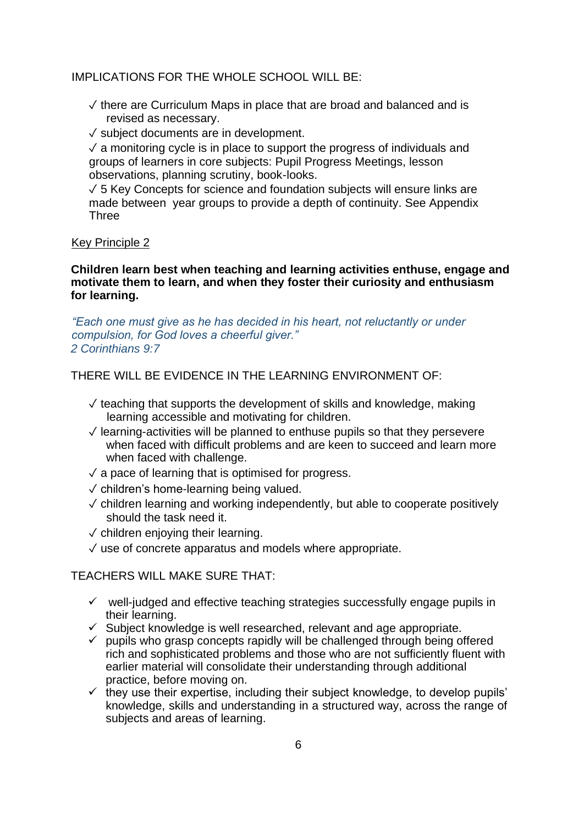#### IMPLICATIONS FOR THE WHOLE SCHOOL WILL BE:

✓ there are Curriculum Maps in place that are broad and balanced and is revised as necessary.

✓ subject documents are in development.

 $\sqrt{a}$  monitoring cycle is in place to support the progress of individuals and groups of learners in core subjects: Pupil Progress Meetings, lesson observations, planning scrutiny, book-looks.

✓ 5 Key Concepts for science and foundation subjects will ensure links are made between year groups to provide a depth of continuity. See Appendix **Three** 

#### Key Principle 2

**Children learn best when teaching and learning activities enthuse, engage and motivate them to learn, and when they foster their curiosity and enthusiasm for learning.** 

*"Each one must give as he has decided in his heart, not reluctantly or under compulsion, for God loves a cheerful giver." 2 Corinthians 9:7* 

#### THERE WILL BE EVIDENCE IN THE LEARNING ENVIRONMENT OF:

- $\sqrt{2}$  teaching that supports the development of skills and knowledge, making learning accessible and motivating for children.
- ✓ learning-activities will be planned to enthuse pupils so that they persevere when faced with difficult problems and are keen to succeed and learn more when faced with challenge.
- $\sqrt{a}$  pace of learning that is optimised for progress.
- ✓ children's home-learning being valued.
- ✓ children learning and working independently, but able to cooperate positively should the task need it.
- $\sqrt{\frac{1}{10}}$  children enjoving their learning.
- $\sqrt{ }$  use of concrete apparatus and models where appropriate.

#### TEACHERS WILL MAKE SURE THAT:

- $\checkmark$  well-judged and effective teaching strategies successfully engage pupils in their learning.
- $\checkmark$  Subject knowledge is well researched, relevant and age appropriate.
- $\checkmark$  pupils who grasp concepts rapidly will be challenged through being offered rich and sophisticated problems and those who are not sufficiently fluent with earlier material will consolidate their understanding through additional practice, before moving on.
- ✓ they use their expertise, including their subject knowledge, to develop pupils' knowledge, skills and understanding in a structured way, across the range of subjects and areas of learning.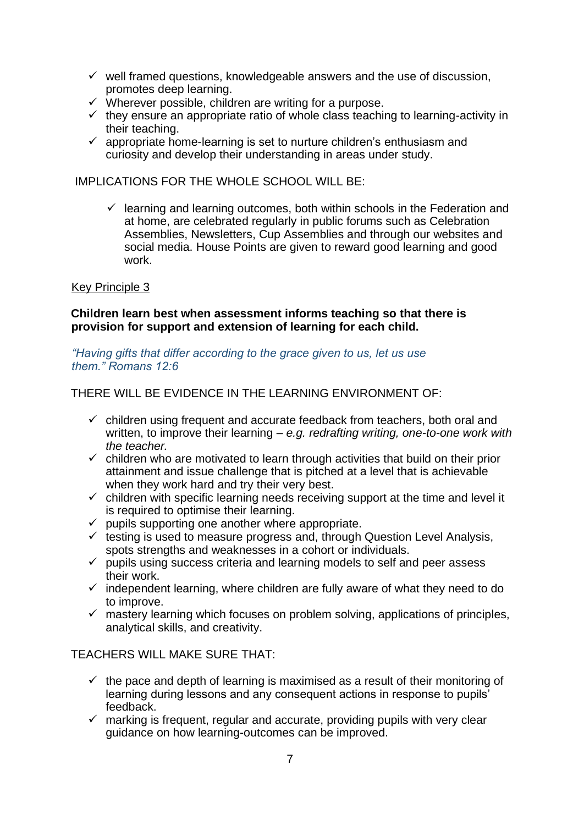- $\checkmark$  well framed questions, knowledgeable answers and the use of discussion, promotes deep learning.
- ✓ Wherever possible, children are writing for a purpose.
- $\checkmark$  they ensure an appropriate ratio of whole class teaching to learning-activity in their teaching.
- $\checkmark$  appropriate home-learning is set to nurture children's enthusiasm and curiosity and develop their understanding in areas under study.

IMPLICATIONS FOR THE WHOLE SCHOOL WILL BE:

 $\checkmark$  learning and learning outcomes, both within schools in the Federation and at home, are celebrated regularly in public forums such as Celebration Assemblies, Newsletters, Cup Assemblies and through our websites and social media. House Points are given to reward good learning and good work.

#### Key Principle 3

#### **Children learn best when assessment informs teaching so that there is provision for support and extension of learning for each child.**

#### *"Having gifts that differ according to the grace given to us, let us use them." Romans 12:6*

THERE WILL BE EVIDENCE IN THE LEARNING ENVIRONMENT OF:

- $\checkmark$  children using frequent and accurate feedback from teachers, both oral and written, to improve their learning – *e.g. redrafting writing, one-to-one work with the teacher.*
- $\checkmark$  children who are motivated to learn through activities that build on their prior attainment and issue challenge that is pitched at a level that is achievable when they work hard and try their very best.
- $\checkmark$  children with specific learning needs receiving support at the time and level it is required to optimise their learning.
- $\checkmark$  pupils supporting one another where appropriate.
- $\checkmark$  testing is used to measure progress and, through Question Level Analysis, spots strengths and weaknesses in a cohort or individuals.
- $\checkmark$  pupils using success criteria and learning models to self and peer assess their work.
- $\checkmark$  independent learning, where children are fully aware of what they need to do to improve.
- $\checkmark$  mastery learning which focuses on problem solving, applications of principles, analytical skills, and creativity.

TEACHERS WILL MAKE SURE THAT:

- $\checkmark$  the pace and depth of learning is maximised as a result of their monitoring of learning during lessons and any consequent actions in response to pupils' feedback.
- $\checkmark$  marking is frequent, regular and accurate, providing pupils with very clear guidance on how learning-outcomes can be improved.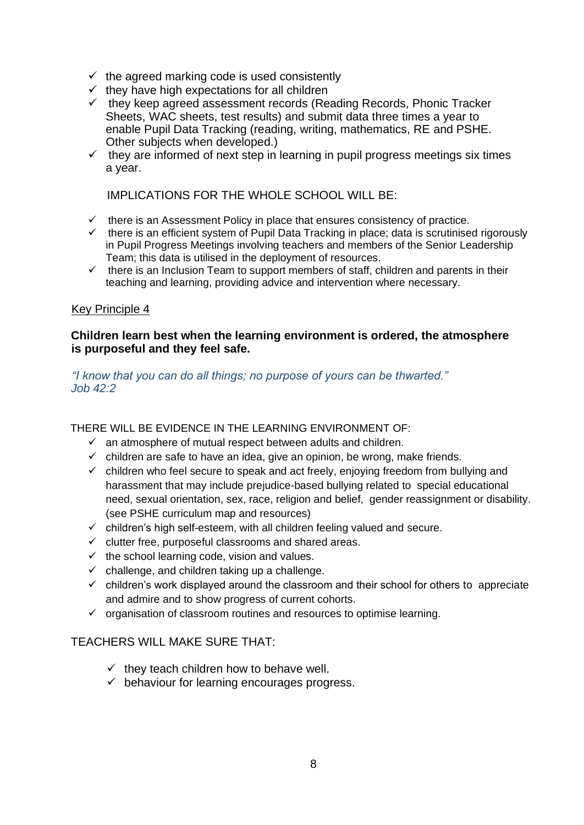- $\checkmark$  the agreed marking code is used consistently
- $\checkmark$  they have high expectations for all children
- ✓ they keep agreed assessment records (Reading Records, Phonic Tracker Sheets, WAC sheets, test results) and submit data three times a year to enable Pupil Data Tracking (reading, writing, mathematics, RE and PSHE. Other subjects when developed.)
- $\checkmark$  they are informed of next step in learning in pupil progress meetings six times a year.

IMPLICATIONS FOR THE WHOLE SCHOOL WILL BE:

- $\checkmark$  there is an Assessment Policy in place that ensures consistency of practice.
- $\checkmark$  there is an efficient system of Pupil Data Tracking in place; data is scrutinised rigorously in Pupil Progress Meetings involving teachers and members of the Senior Leadership Team; this data is utilised in the deployment of resources.
- $\checkmark$  there is an Inclusion Team to support members of staff, children and parents in their teaching and learning, providing advice and intervention where necessary.

#### Key Principle 4

#### **Children learn best when the learning environment is ordered, the atmosphere is purposeful and they feel safe.**

#### *"I know that you can do all things; no purpose of yours can be thwarted." Job 42:2*

THERE WILL BE EVIDENCE IN THE LEARNING ENVIRONMENT OF:

- $\checkmark$  an atmosphere of mutual respect between adults and children.
- $\checkmark$  children are safe to have an idea, give an opinion, be wrong, make friends.
- $\checkmark$  children who feel secure to speak and act freely, enjoying freedom from bullying and harassment that may include prejudice-based bullying related to special educational need, sexual orientation, sex, race, religion and belief, gender reassignment or disability. (see PSHE curriculum map and resources)
- $\checkmark$  children's high self-esteem, with all children feeling valued and secure.
- $\checkmark$  clutter free, purposeful classrooms and shared areas.
- $\checkmark$  the school learning code, vision and values.
- $\checkmark$  challenge, and children taking up a challenge.
- $\checkmark$  children's work displayed around the classroom and their school for others to appreciate and admire and to show progress of current cohorts.
- ✓ organisation of classroom routines and resources to optimise learning.

# TEACHERS WILL MAKE SURE THAT:

- $\checkmark$  they teach children how to behave well.
- $\checkmark$  behaviour for learning encourages progress.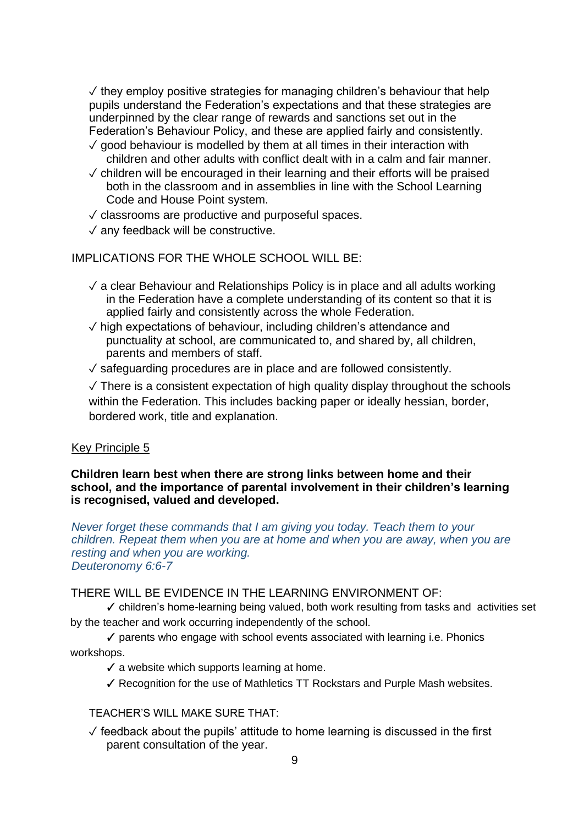$\sqrt{ }$  they employ positive strategies for managing children's behaviour that help pupils understand the Federation's expectations and that these strategies are underpinned by the clear range of rewards and sanctions set out in the Federation's Behaviour Policy, and these are applied fairly and consistently.

- $\sqrt{2}$  good behaviour is modelled by them at all times in their interaction with children and other adults with conflict dealt with in a calm and fair manner.
- ✓ children will be encouraged in their learning and their efforts will be praised both in the classroom and in assemblies in line with the School Learning Code and House Point system.
- $\sqrt{\ }$  classrooms are productive and purposeful spaces.
- ✓ any feedback will be constructive.

IMPLICATIONS FOR THE WHOLE SCHOOL WILL BE:

- $\sqrt{a}$  clear Behaviour and Relationships Policy is in place and all adults working in the Federation have a complete understanding of its content so that it is applied fairly and consistently across the whole Federation.
- ✓ high expectations of behaviour, including children's attendance and punctuality at school, are communicated to, and shared by, all children, parents and members of staff.
- ✓ safeguarding procedures are in place and are followed consistently.

 $\sqrt{ }$  There is a consistent expectation of high quality display throughout the schools within the Federation. This includes backing paper or ideally hessian, border, bordered work, title and explanation.

#### Key Principle 5

#### **Children learn best when there are strong links between home and their school, and the importance of parental involvement in their children's learning is recognised, valued and developed.**

*Never forget these commands that I am giving you today. Teach them to your children. Repeat them when you are at home and when you are away, when you are resting and when you are working. Deuteronomy 6:6-7* 

# THERE WILL BE EVIDENCE IN THE LEARNING ENVIRONMENT OF:

✓ children's home-learning being valued, both work resulting from tasks and activities set by the teacher and work occurring independently of the school.

✓ parents who engage with school events associated with learning i.e. Phonics workshops.

 $\checkmark$  a website which supports learning at home.

✓ Recognition for the use of Mathletics TT Rockstars and Purple Mash websites.

TEACHER'S WILL MAKE SURE THAT:

 $\sqrt{\ }$  feedback about the pupils' attitude to home learning is discussed in the first parent consultation of the year.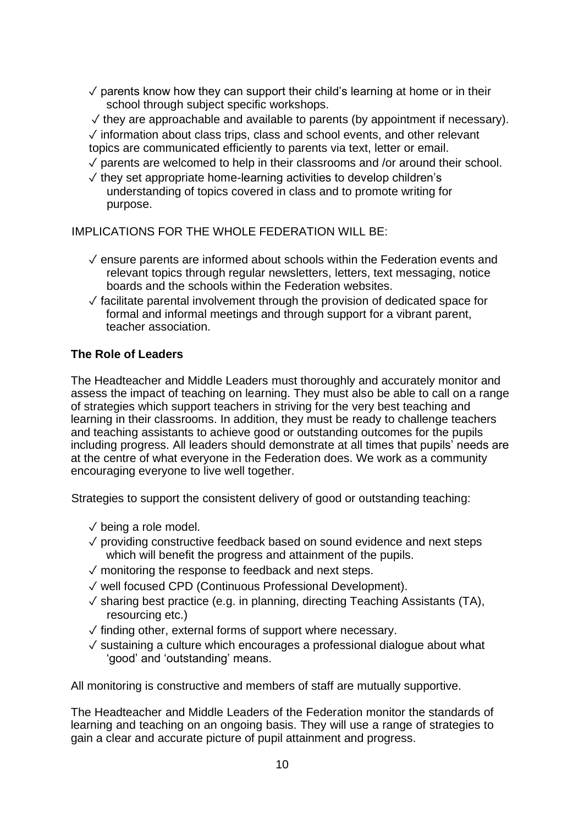$\sqrt{2}$  parents know how they can support their child's learning at home or in their school through subject specific workshops.

 $\sqrt{ }$  they are approachable and available to parents (by appointment if necessary). ✓ information about class trips, class and school events, and other relevant topics are communicated efficiently to parents via text, letter or email.

- $\sqrt{2}$  parents are welcomed to help in their classrooms and /or around their school.
- ✓ they set appropriate home-learning activities to develop children's understanding of topics covered in class and to promote writing for purpose.

IMPLICATIONS FOR THE WHOLE FEDERATION WILL BE:

- ✓ ensure parents are informed about schools within the Federation events and relevant topics through regular newsletters, letters, text messaging, notice boards and the schools within the Federation websites.
- ✓ facilitate parental involvement through the provision of dedicated space for formal and informal meetings and through support for a vibrant parent, teacher association.

# **The Role of Leaders**

The Headteacher and Middle Leaders must thoroughly and accurately monitor and assess the impact of teaching on learning. They must also be able to call on a range of strategies which support teachers in striving for the very best teaching and learning in their classrooms. In addition, they must be ready to challenge teachers and teaching assistants to achieve good or outstanding outcomes for the pupils including progress. All leaders should demonstrate at all times that pupils' needs are at the centre of what everyone in the Federation does. We work as a community encouraging everyone to live well together.

Strategies to support the consistent delivery of good or outstanding teaching:

- ✓ being a role model.
- ✓ providing constructive feedback based on sound evidence and next steps which will benefit the progress and attainment of the pupils.
- ✓ monitoring the response to feedback and next steps.
- ✓ well focused CPD (Continuous Professional Development).
- ✓ sharing best practice (e.g. in planning, directing Teaching Assistants (TA), resourcing etc.)
- ✓ finding other, external forms of support where necessary.
- ✓ sustaining a culture which encourages a professional dialogue about what 'good' and 'outstanding' means.

All monitoring is constructive and members of staff are mutually supportive.

The Headteacher and Middle Leaders of the Federation monitor the standards of learning and teaching on an ongoing basis. They will use a range of strategies to gain a clear and accurate picture of pupil attainment and progress.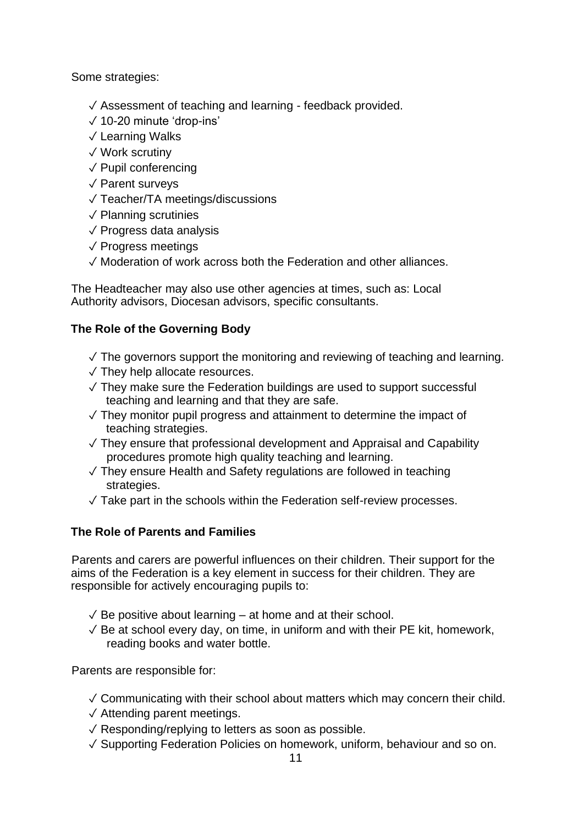Some strategies:

- ✓ Assessment of teaching and learning feedback provided.
- ✓ 10-20 minute 'drop-ins'
- ✓ Learning Walks
- ✓ Work scrutiny
- ✓ Pupil conferencing
- ✓ Parent surveys
- ✓ Teacher/TA meetings/discussions
- ✓ Planning scrutinies
- ✓ Progress data analysis
- ✓ Progress meetings
- ✓ Moderation of work across both the Federation and other alliances.

The Headteacher may also use other agencies at times, such as: Local Authority advisors, Diocesan advisors, specific consultants.

# **The Role of the Governing Body**

- $\sqrt{ }$  The governors support the monitoring and reviewing of teaching and learning.
- $\sqrt{}$  They help allocate resources.
- ✓ They make sure the Federation buildings are used to support successful teaching and learning and that they are safe.
- $\sqrt{ }$  They monitor pupil progress and attainment to determine the impact of teaching strategies.
- ✓ They ensure that professional development and Appraisal and Capability procedures promote high quality teaching and learning.
- ✓ They ensure Health and Safety regulations are followed in teaching strategies.
- $\sqrt{ }$  Take part in the schools within the Federation self-review processes.

# **The Role of Parents and Families**

Parents and carers are powerful influences on their children. Their support for the aims of the Federation is a key element in success for their children. They are responsible for actively encouraging pupils to:

- $\sqrt{2}$  Be positive about learning at home and at their school.
- $\sqrt{2}$  Be at school every day, on time, in uniform and with their PE kit, homework, reading books and water bottle.

Parents are responsible for:

- ✓ Communicating with their school about matters which may concern their child.
- ✓ Attending parent meetings.
- ✓ Responding/replying to letters as soon as possible.
- ✓ Supporting Federation Policies on homework, uniform, behaviour and so on.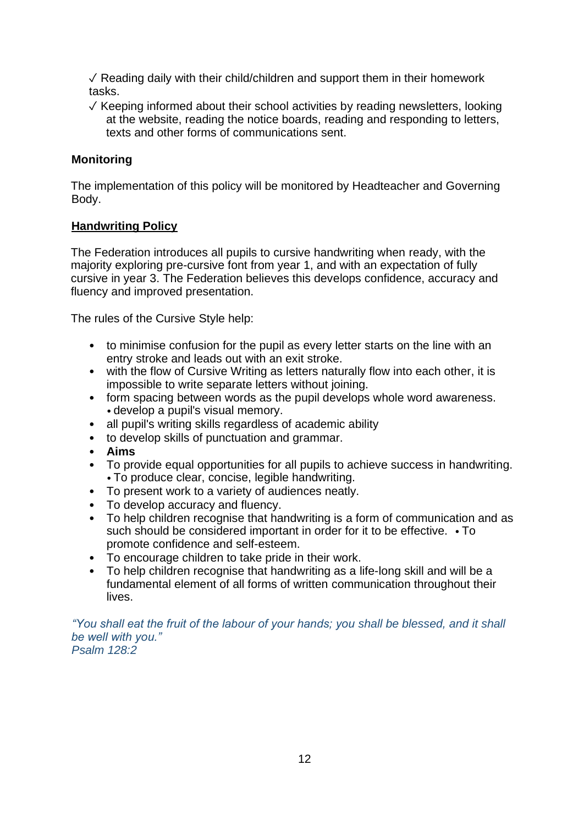$\sqrt{2}$  Reading daily with their child/children and support them in their homework tasks.

✓ Keeping informed about their school activities by reading newsletters, looking at the website, reading the notice boards, reading and responding to letters, texts and other forms of communications sent.

# **Monitoring**

The implementation of this policy will be monitored by Headteacher and Governing Body.

# **Handwriting Policy**

The Federation introduces all pupils to cursive handwriting when ready, with the majority exploring pre-cursive font from year 1, and with an expectation of fully cursive in year 3. The Federation believes this develops confidence, accuracy and fluency and improved presentation.

The rules of the Cursive Style help:

- to minimise confusion for the pupil as every letter starts on the line with an entry stroke and leads out with an exit stroke.
- with the flow of Cursive Writing as letters naturally flow into each other, it is impossible to write separate letters without joining.
- form spacing between words as the pupil develops whole word awareness. • develop a pupil's visual memory.
- all pupil's writing skills regardless of academic ability
- to develop skills of punctuation and grammar.
- **Aims**
- To provide equal opportunities for all pupils to achieve success in handwriting. • To produce clear, concise, legible handwriting.
- To present work to a variety of audiences neatly.
- To develop accuracy and fluency.<br>• To help children recognise that ha
- To help children recognise that handwriting is a form of communication and as such should be considered important in order for it to be effective. • To promote confidence and self-esteem.
- To encourage children to take pride in their work.<br>• To help children recognise that handwriting as a li
- To help children recognise that handwriting as a life-long skill and will be a fundamental element of all forms of written communication throughout their lives.

*"You shall eat the fruit of the labour of your hands; you shall be blessed, and it shall be well with you." Psalm 128:2*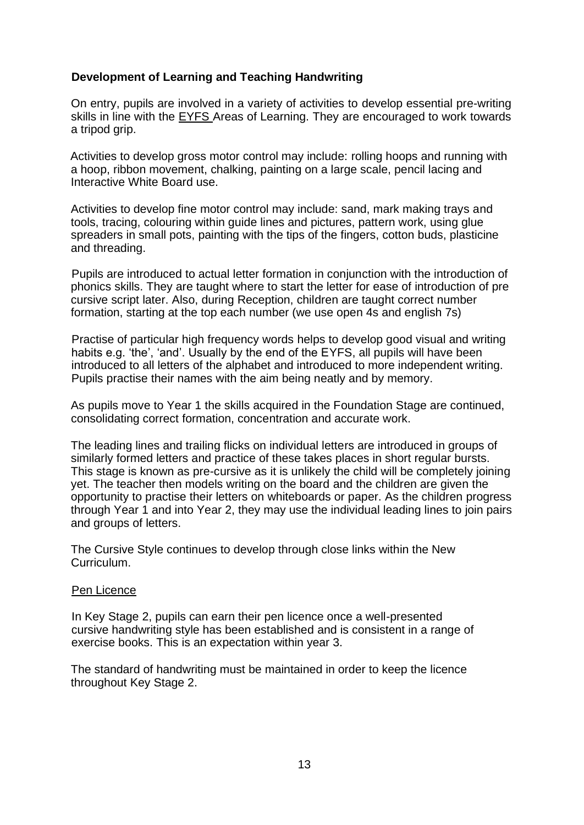# **Development of Learning and Teaching Handwriting**

On entry, pupils are involved in a variety of activities to develop essential pre-writing skills in line with the EYFS Areas of Learning. They are encouraged to work towards a tripod grip.

Activities to develop gross motor control may include: rolling hoops and running with a hoop, ribbon movement, chalking, painting on a large scale, pencil lacing and Interactive White Board use.

Activities to develop fine motor control may include: sand, mark making trays and tools, tracing, colouring within guide lines and pictures, pattern work, using glue spreaders in small pots, painting with the tips of the fingers, cotton buds, plasticine and threading.

Pupils are introduced to actual letter formation in conjunction with the introduction of phonics skills. They are taught where to start the letter for ease of introduction of pre cursive script later. Also, during Reception, children are taught correct number formation, starting at the top each number (we use open 4s and english 7s)

Practise of particular high frequency words helps to develop good visual and writing habits e.g. 'the', 'and'. Usually by the end of the EYFS, all pupils will have been introduced to all letters of the alphabet and introduced to more independent writing. Pupils practise their names with the aim being neatly and by memory.

As pupils move to Year 1 the skills acquired in the Foundation Stage are continued, consolidating correct formation, concentration and accurate work.

The leading lines and trailing flicks on individual letters are introduced in groups of similarly formed letters and practice of these takes places in short regular bursts. This stage is known as pre-cursive as it is unlikely the child will be completely joining yet. The teacher then models writing on the board and the children are given the opportunity to practise their letters on whiteboards or paper. As the children progress through Year 1 and into Year 2, they may use the individual leading lines to join pairs and groups of letters.

The Cursive Style continues to develop through close links within the New Curriculum.

#### Pen Licence

In Key Stage 2, pupils can earn their pen licence once a well-presented cursive handwriting style has been established and is consistent in a range of exercise books. This is an expectation within year 3.

The standard of handwriting must be maintained in order to keep the licence throughout Key Stage 2.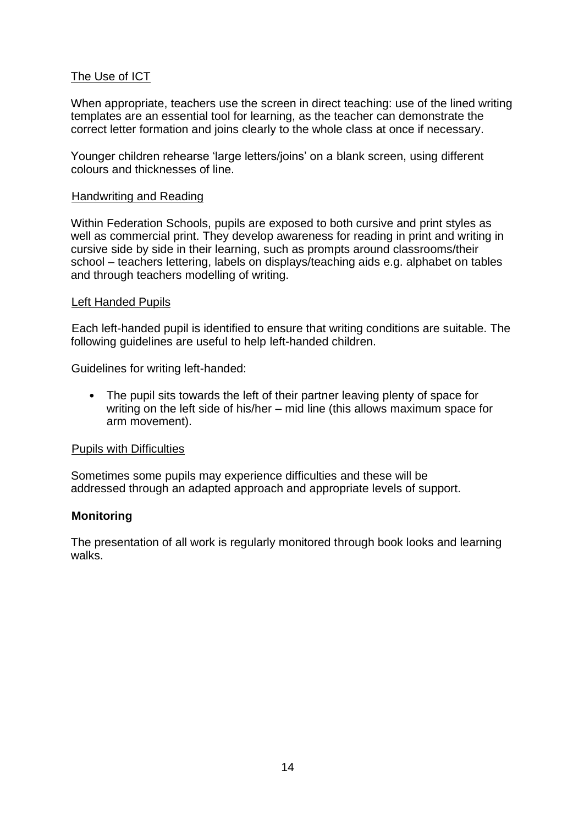# The Use of ICT

When appropriate, teachers use the screen in direct teaching: use of the lined writing templates are an essential tool for learning, as the teacher can demonstrate the correct letter formation and joins clearly to the whole class at once if necessary.

Younger children rehearse 'large letters/joins' on a blank screen, using different colours and thicknesses of line.

#### Handwriting and Reading

Within Federation Schools, pupils are exposed to both cursive and print styles as well as commercial print. They develop awareness for reading in print and writing in cursive side by side in their learning, such as prompts around classrooms/their school – teachers lettering, labels on displays/teaching aids e.g. alphabet on tables and through teachers modelling of writing.

#### Left Handed Pupils

Each left-handed pupil is identified to ensure that writing conditions are suitable. The following guidelines are useful to help left-handed children.

Guidelines for writing left-handed:

• The pupil sits towards the left of their partner leaving plenty of space for writing on the left side of his/her – mid line (this allows maximum space for arm movement).

#### Pupils with Difficulties

Sometimes some pupils may experience difficulties and these will be addressed through an adapted approach and appropriate levels of support.

# **Monitoring**

The presentation of all work is regularly monitored through book looks and learning walks.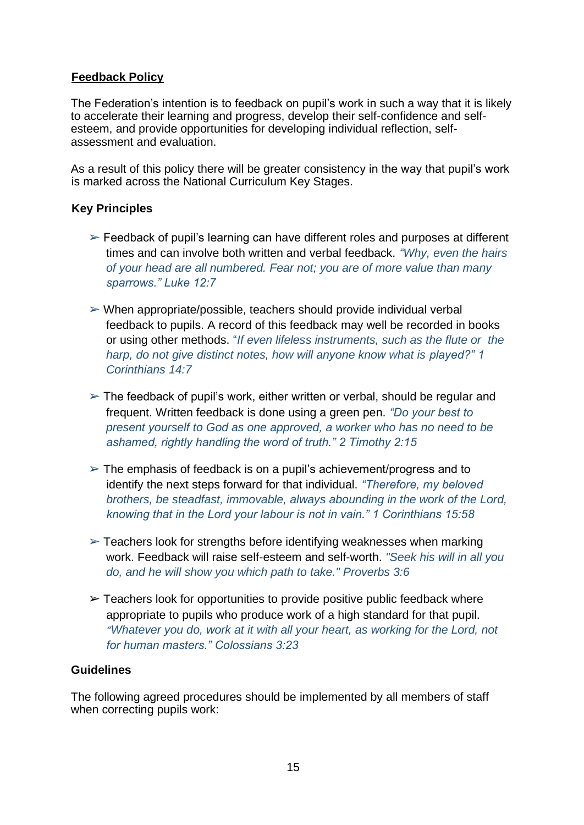# **Feedback Policy**

The Federation's intention is to feedback on pupil's work in such a way that it is likely to accelerate their learning and progress, develop their self-confidence and selfesteem, and provide opportunities for developing individual reflection, selfassessment and evaluation.

As a result of this policy there will be greater consistency in the way that pupil's work is marked across the National Curriculum Key Stages.

# **Key Principles**

- $\triangleright$  Feedback of pupil's learning can have different roles and purposes at different times and can involve both written and verbal feedback. *"Why, even the hairs of your head are all numbered. Fear not; you are of more value than many sparrows." Luke 12:7*
- $\triangleright$  When appropriate/possible, teachers should provide individual verbal feedback to pupils. A record of this feedback may well be recorded in books or using other methods. "*If even lifeless instruments, such as the flute or the harp, do not give distinct notes, how will anyone know what is played?" 1 Corinthians 14:7*
- $\geq$  The feedback of pupil's work, either written or verbal, should be regular and frequent. Written feedback is done using a green pen. *"Do your best to present yourself to God as one approved, a worker who has no need to be ashamed, rightly handling the word of truth." 2 Timothy 2:15*
- $\triangleright$  The emphasis of feedback is on a pupil's achievement/progress and to identify the next steps forward for that individual. *"Therefore, my beloved brothers, be steadfast, immovable, always abounding in the work of the Lord, knowing that in the Lord your labour is not in vain." 1 Corinthians 15:58*
- $\triangleright$  Teachers look for strengths before identifying weaknesses when marking work. Feedback will raise self-esteem and self-worth. *"Seek his will in all you do, and he will show you which path to take." Proverbs 3:6*
- $\geq$  Teachers look for opportunities to provide positive public feedback where appropriate to pupils who produce work of a high standard for that pupil. *"Whatever you do, work at it with all your heart, as working for the Lord, not for human masters." Colossians 3:23*

# **Guidelines**

The following agreed procedures should be implemented by all members of staff when correcting pupils work: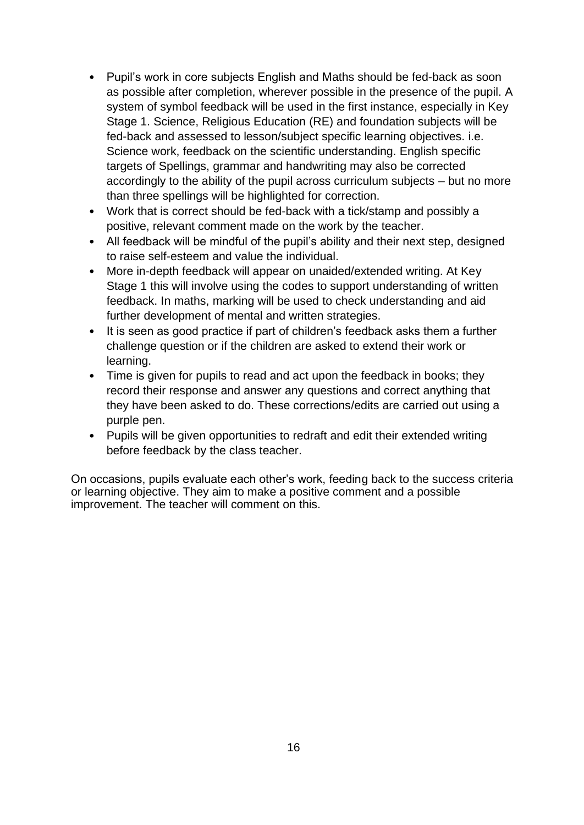- Pupil's work in core subjects English and Maths should be fed-back as soon as possible after completion, wherever possible in the presence of the pupil. A system of symbol feedback will be used in the first instance, especially in Key Stage 1. Science, Religious Education (RE) and foundation subjects will be fed-back and assessed to lesson/subject specific learning objectives. i.e. Science work, feedback on the scientific understanding. English specific targets of Spellings, grammar and handwriting may also be corrected accordingly to the ability of the pupil across curriculum subjects – but no more than three spellings will be highlighted for correction.
- Work that is correct should be fed-back with a tick/stamp and possibly a positive, relevant comment made on the work by the teacher.
- All feedback will be mindful of the pupil's ability and their next step, designed to raise self-esteem and value the individual.
- More in-depth feedback will appear on unaided/extended writing. At Key Stage 1 this will involve using the codes to support understanding of written feedback. In maths, marking will be used to check understanding and aid further development of mental and written strategies.
- It is seen as good practice if part of children's feedback asks them a further challenge question or if the children are asked to extend their work or learning.
- Time is given for pupils to read and act upon the feedback in books; they record their response and answer any questions and correct anything that they have been asked to do. These corrections/edits are carried out using a purple pen.
- Pupils will be given opportunities to redraft and edit their extended writing before feedback by the class teacher.

On occasions, pupils evaluate each other's work, feeding back to the success criteria or learning objective. They aim to make a positive comment and a possible improvement. The teacher will comment on this.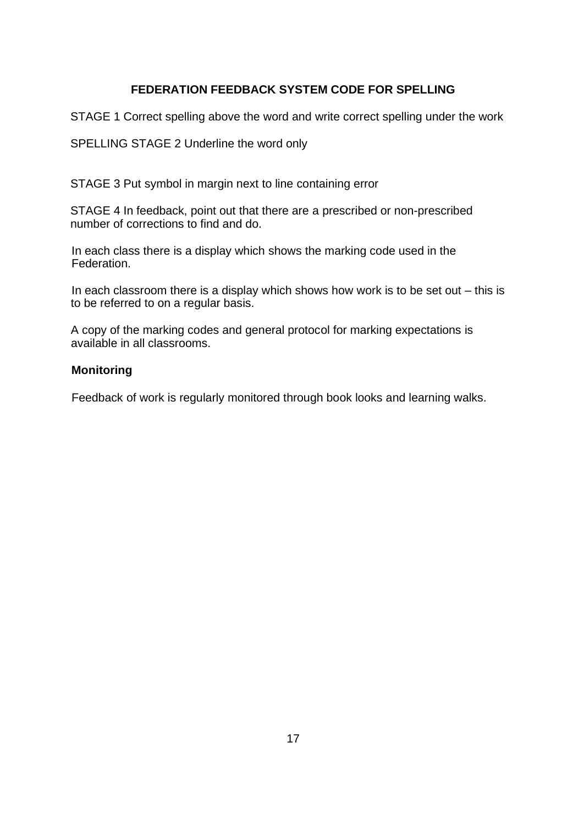# **FEDERATION FEEDBACK SYSTEM CODE FOR SPELLING**

STAGE 1 Correct spelling above the word and write correct spelling under the work

SPELLING STAGE 2 Underline the word only

STAGE 3 Put symbol in margin next to line containing error

STAGE 4 In feedback, point out that there are a prescribed or non-prescribed number of corrections to find and do.

In each class there is a display which shows the marking code used in the Federation.

In each classroom there is a display which shows how work is to be set out  $-$  this is to be referred to on a regular basis.

A copy of the marking codes and general protocol for marking expectations is available in all classrooms.

# **Monitoring**

Feedback of work is regularly monitored through book looks and learning walks.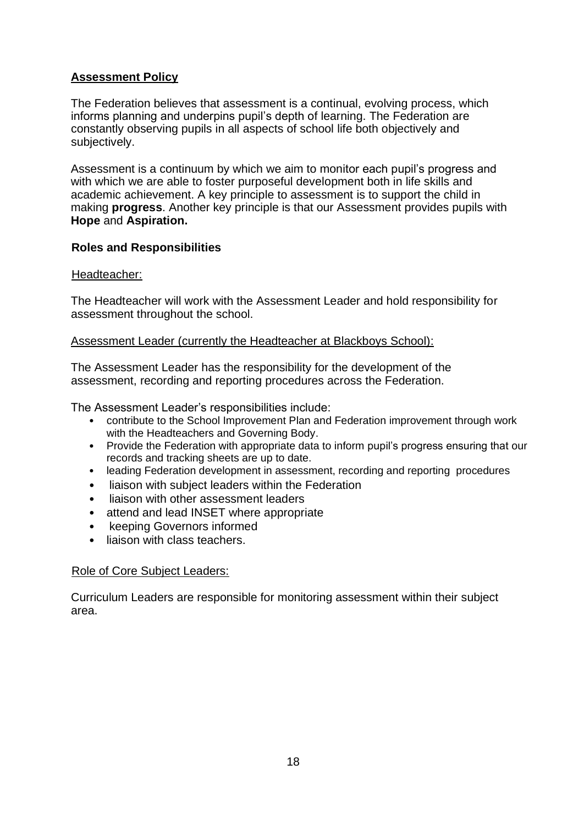# **Assessment Policy**

The Federation believes that assessment is a continual, evolving process, which informs planning and underpins pupil's depth of learning. The Federation are constantly observing pupils in all aspects of school life both objectively and subjectively.

Assessment is a continuum by which we aim to monitor each pupil's progress and with which we are able to foster purposeful development both in life skills and academic achievement. A key principle to assessment is to support the child in making **progress**. Another key principle is that our Assessment provides pupils with **Hope** and **Aspiration.** 

# **Roles and Responsibilities**

# Headteacher:

The Headteacher will work with the Assessment Leader and hold responsibility for assessment throughout the school.

# Assessment Leader (currently the Headteacher at Blackboys School):

The Assessment Leader has the responsibility for the development of the assessment, recording and reporting procedures across the Federation.

The Assessment Leader's responsibilities include:

- contribute to the School Improvement Plan and Federation improvement through work with the Headteachers and Governing Body.
- Provide the Federation with appropriate data to inform pupil's progress ensuring that our records and tracking sheets are up to date.
- leading Federation development in assessment, recording and reporting procedures
- liaison with subject leaders within the Federation
- liaison with other assessment leaders
- attend and lead INSET where appropriate
- keeping Governors informed
- liaison with class teachers.

# Role of Core Subject Leaders:

Curriculum Leaders are responsible for monitoring assessment within their subject area.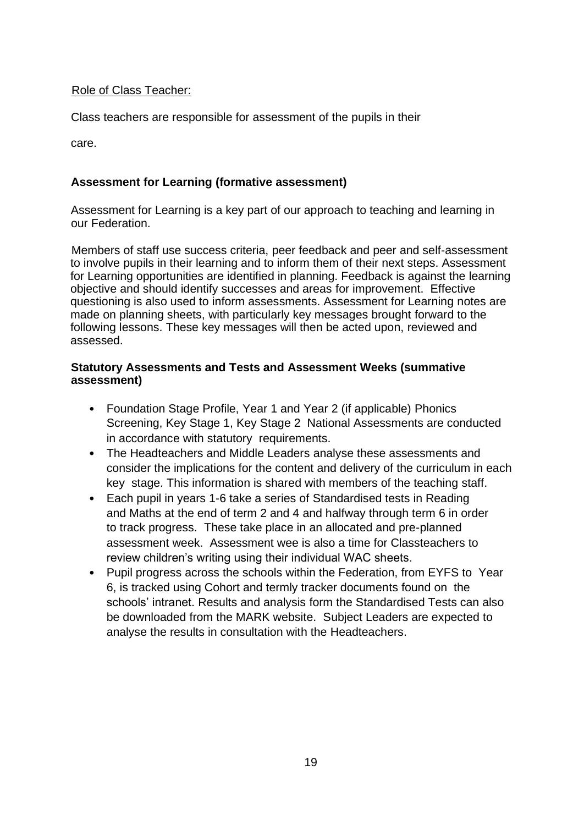# Role of Class Teacher:

Class teachers are responsible for assessment of the pupils in their

care.

# **Assessment for Learning (formative assessment)**

Assessment for Learning is a key part of our approach to teaching and learning in our Federation.

Members of staff use success criteria, peer feedback and peer and self-assessment to involve pupils in their learning and to inform them of their next steps. Assessment for Learning opportunities are identified in planning. Feedback is against the learning objective and should identify successes and areas for improvement. Effective questioning is also used to inform assessments. Assessment for Learning notes are made on planning sheets, with particularly key messages brought forward to the following lessons. These key messages will then be acted upon, reviewed and assessed.

# **Statutory Assessments and Tests and Assessment Weeks (summative assessment)**

- Foundation Stage Profile, Year 1 and Year 2 (if applicable) Phonics Screening, Key Stage 1, Key Stage 2 National Assessments are conducted in accordance with statutory requirements.
- The Headteachers and Middle Leaders analyse these assessments and consider the implications for the content and delivery of the curriculum in each key stage. This information is shared with members of the teaching staff.
- Each pupil in years 1-6 take a series of Standardised tests in Reading and Maths at the end of term 2 and 4 and halfway through term 6 in order to track progress. These take place in an allocated and pre-planned assessment week. Assessment wee is also a time for Classteachers to review children's writing using their individual WAC sheets.
- Pupil progress across the schools within the Federation, from EYFS to Year 6, is tracked using Cohort and termly tracker documents found on the schools' intranet. Results and analysis form the Standardised Tests can also be downloaded from the MARK website. Subject Leaders are expected to analyse the results in consultation with the Headteachers.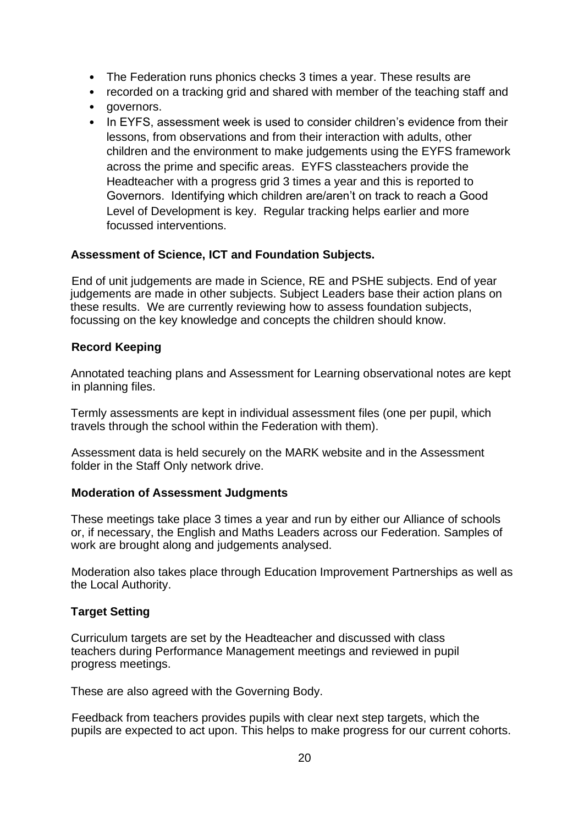- The Federation runs phonics checks 3 times a year. These results are
- recorded on a tracking grid and shared with member of the teaching staff and
- governors.
- In EYFS, assessment week is used to consider children's evidence from their lessons, from observations and from their interaction with adults, other children and the environment to make judgements using the EYFS framework across the prime and specific areas. EYFS classteachers provide the Headteacher with a progress grid 3 times a year and this is reported to Governors. Identifying which children are/aren't on track to reach a Good Level of Development is key. Regular tracking helps earlier and more focussed interventions.

# **Assessment of Science, ICT and Foundation Subjects.**

End of unit judgements are made in Science, RE and PSHE subjects. End of year judgements are made in other subjects. Subject Leaders base their action plans on these results. We are currently reviewing how to assess foundation subjects, focussing on the key knowledge and concepts the children should know.

# **Record Keeping**

Annotated teaching plans and Assessment for Learning observational notes are kept in planning files.

Termly assessments are kept in individual assessment files (one per pupil, which travels through the school within the Federation with them).

Assessment data is held securely on the MARK website and in the Assessment folder in the Staff Only network drive.

# **Moderation of Assessment Judgments**

These meetings take place 3 times a year and run by either our Alliance of schools or, if necessary, the English and Maths Leaders across our Federation. Samples of work are brought along and judgements analysed.

Moderation also takes place through Education Improvement Partnerships as well as the Local Authority.

# **Target Setting**

Curriculum targets are set by the Headteacher and discussed with class teachers during Performance Management meetings and reviewed in pupil progress meetings.

These are also agreed with the Governing Body.

Feedback from teachers provides pupils with clear next step targets, which the pupils are expected to act upon. This helps to make progress for our current cohorts.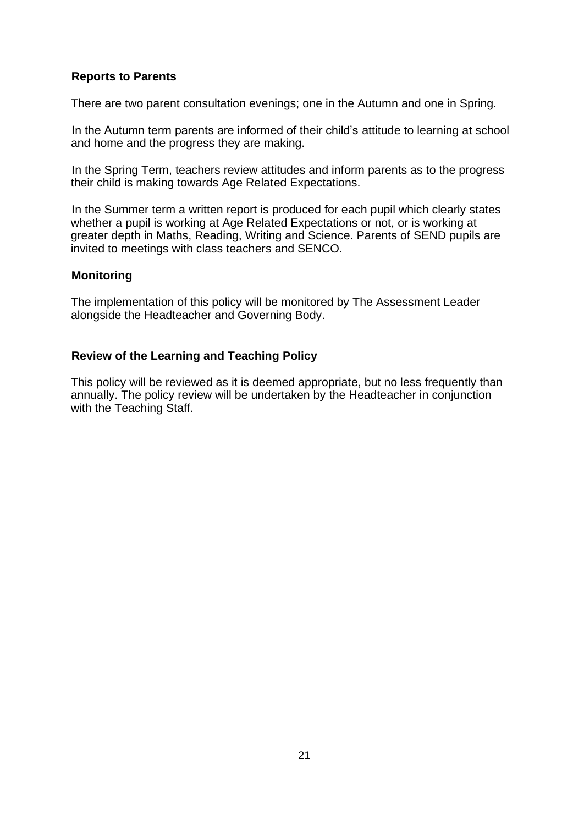# **Reports to Parents**

There are two parent consultation evenings; one in the Autumn and one in Spring.

In the Autumn term parents are informed of their child's attitude to learning at school and home and the progress they are making.

In the Spring Term, teachers review attitudes and inform parents as to the progress their child is making towards Age Related Expectations.

In the Summer term a written report is produced for each pupil which clearly states whether a pupil is working at Age Related Expectations or not, or is working at greater depth in Maths, Reading, Writing and Science. Parents of SEND pupils are invited to meetings with class teachers and SENCO.

#### **Monitoring**

The implementation of this policy will be monitored by The Assessment Leader alongside the Headteacher and Governing Body.

# **Review of the Learning and Teaching Policy**

This policy will be reviewed as it is deemed appropriate, but no less frequently than annually. The policy review will be undertaken by the Headteacher in conjunction with the Teaching Staff.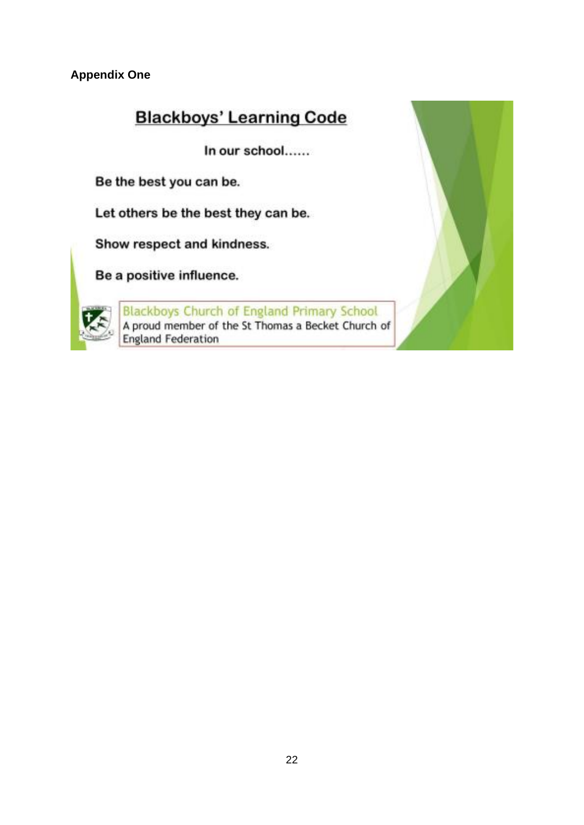**Appendix One**

# **Blackboys' Learning Code**

In our school......

Be the best you can be.

Let others be the best they can be.

Show respect and kindness.

Be a positive influence.



Blackboys Church of England Primary School<br>A proud member of the St Thomas a Becket Church of **England Federation** 

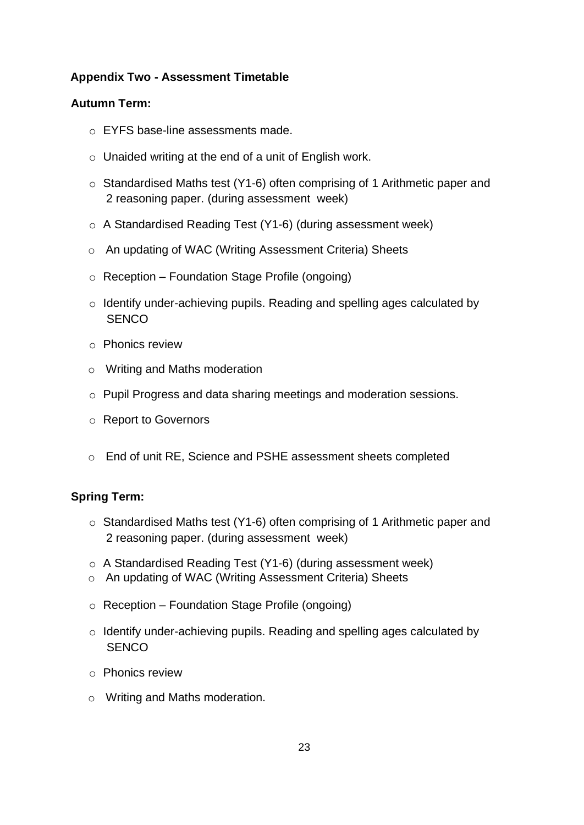# **Appendix Two - Assessment Timetable**

# **Autumn Term:**

- o EYFS base-line assessments made.
- o Unaided writing at the end of a unit of English work.
- o Standardised Maths test (Y1-6) often comprising of 1 Arithmetic paper and 2 reasoning paper. (during assessment week)
- o A Standardised Reading Test (Y1-6) (during assessment week)
- o An updating of WAC (Writing Assessment Criteria) Sheets
- $\circ$  Reception Foundation Stage Profile (ongoing)
- o Identify under-achieving pupils. Reading and spelling ages calculated by **SENCO**
- o Phonics review
- o Writing and Maths moderation
- o Pupil Progress and data sharing meetings and moderation sessions.
- o Report to Governors
- o End of unit RE, Science and PSHE assessment sheets completed

# **Spring Term:**

- o Standardised Maths test (Y1-6) often comprising of 1 Arithmetic paper and 2 reasoning paper. (during assessment week)
- o A Standardised Reading Test (Y1-6) (during assessment week)
- o An updating of WAC (Writing Assessment Criteria) Sheets
- $\circ$  Reception Foundation Stage Profile (ongoing)
- o Identify under-achieving pupils. Reading and spelling ages calculated by **SENCO**
- o Phonics review
- o Writing and Maths moderation.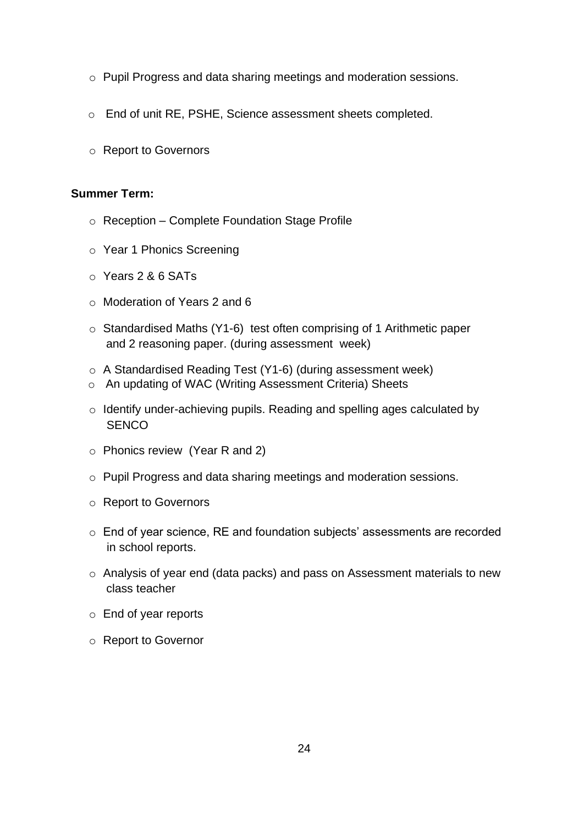- o Pupil Progress and data sharing meetings and moderation sessions.
- o End of unit RE, PSHE, Science assessment sheets completed.
- o Report to Governors

#### **Summer Term:**

- o Reception Complete Foundation Stage Profile
- o Year 1 Phonics Screening
- o Years 2 & 6 SATs
- o Moderation of Years 2 and 6
- o Standardised Maths (Y1-6) test often comprising of 1 Arithmetic paper and 2 reasoning paper. (during assessment week)
- o A Standardised Reading Test (Y1-6) (during assessment week)
- o An updating of WAC (Writing Assessment Criteria) Sheets
- o Identify under-achieving pupils. Reading and spelling ages calculated by **SENCO**
- o Phonics review (Year R and 2)
- o Pupil Progress and data sharing meetings and moderation sessions.
- o Report to Governors
- o End of year science, RE and foundation subjects' assessments are recorded in school reports.
- o Analysis of year end (data packs) and pass on Assessment materials to new class teacher
- o End of year reports
- o Report to Governor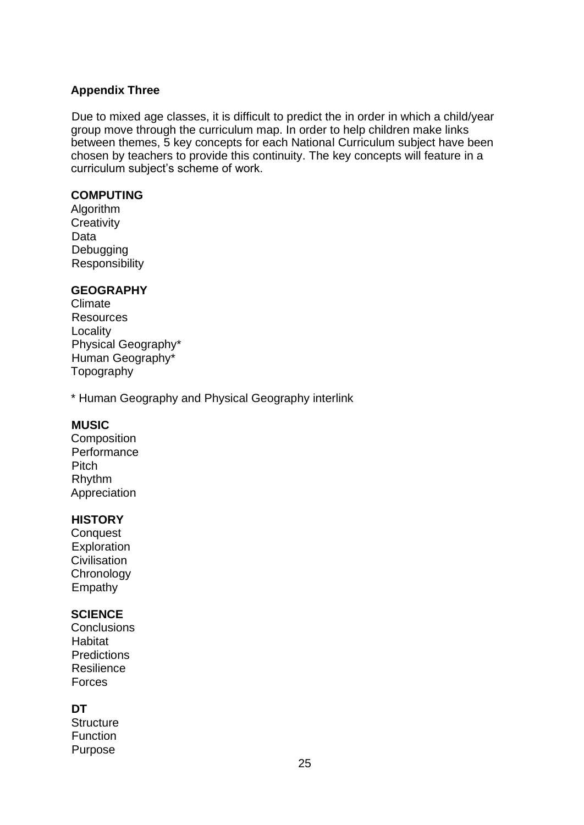# **Appendix Three**

Due to mixed age classes, it is difficult to predict the in order in which a child/year group move through the curriculum map. In order to help children make links between themes, 5 key concepts for each National Curriculum subject have been chosen by teachers to provide this continuity. The key concepts will feature in a curriculum subject's scheme of work.

# **COMPUTING**

Algorithm **Creativity** Data **Debugging Responsibility** 

# **GEOGRAPHY**

Climate Resources Locality Physical Geography\* Human Geography\* Topography

\* Human Geography and Physical Geography interlink

# **MUSIC**

**Composition Performance** Pitch Rhythm Appreciation

# **HISTORY**

**Conquest Exploration Civilisation Chronology** Empathy

# **SCIENCE**

**Conclusions Habitat Predictions** Resilience Forces

# **DT**

**Structure** Function Purpose